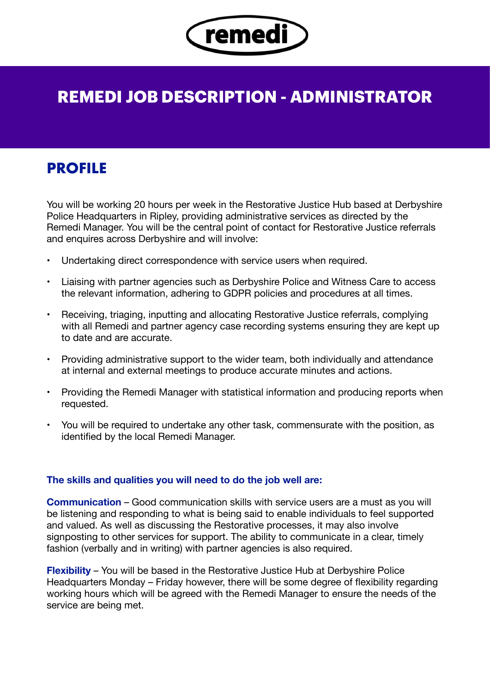

# **REMEDI JOB DESCRIPTION - ADMINISTRATOR**

# **PROFILE**

You will be working 20 hours per week in the Restorative Justice Hub based at Derbyshire Police Headquarters in Ripley, providing administrative services as directed by the Remedi Manager. You will be the central point of contact for Restorative Justice referrals and enquires across Derbyshire and will involve:

- Undertaking direct correspondence with service users when required.
- Liaising with partner agencies such as Derbyshire Police and Witness Care to access the relevant information, adhering to GDPR policies and procedures at all times.
- Receiving, triaging, inputting and allocating Restorative Justice referrals, complying with all Remedi and partner agency case recording systems ensuring they are kept up to date and are accurate.
- Providing administrative support to the wider team, both individually and attendance at internal and external meetings to produce accurate minutes and actions.
- Providing the Remedi Manager with statistical information and producing reports when requested.
- You will be required to undertake any other task, commensurate with the position, as identified by the local Remedi Manager.

#### **The skills and qualities you will need to do the job well are:**

**Communication** – Good communication skills with service users are a must as you will be listening and responding to what is being said to enable individuals to feel supported and valued. As well as discussing the Restorative processes, it may also involve signposting to other services for support. The ability to communicate in a clear, timely fashion (verbally and in writing) with partner agencies is also required.

**Flexibility** – You will be based in the Restorative Justice Hub at Derbyshire Police Headquarters Monday – Friday however, there will be some degree of flexibility regarding working hours which will be agreed with the Remedi Manager to ensure the needs of the service are being met.